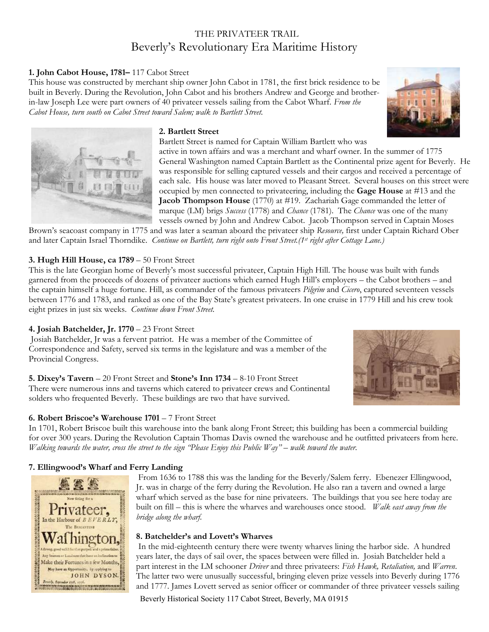# THE PRIVATEER TRAIL Beverly's Revolutionary Era Maritime History

# **1. John Cabot House, 1781–** 117 Cabot Street

This house was constructed by merchant ship owner John Cabot in 1781, the first brick residence to be built in Beverly. During the Revolution, John Cabot and his brothers Andrew and George and brotherin-law Joseph Lee were part owners of 40 privateer vessels sailing from the Cabot Wharf. *From the Cabot House, turn south on Cabot Street toward Salem; walk to Bartlett Street.*





#### **2. Bartlett Street**

Bartlett Street is named for Captain William Bartlett who was

active in town affairs and was a merchant and wharf owner. In the summer of 1775 General Washington named Captain Bartlett as the Continental prize agent for Beverly. He was responsible for selling captured vessels and their cargos and received a percentage of each sale. His house was later moved to Pleasant Street. Several houses on this street were occupied by men connected to privateering, including the **Gage House** at #13 and the **Jacob Thompson House** (1770) at #19. Zachariah Gage commanded the letter of marque (LM) brigs *Success* (1778) and *Chance* (1781). The *Chance* was one of the many vessels owned by John and Andrew Cabot. Jacob Thompson served in Captain Moses

Brown's seacoast company in 1775 and was later a seaman aboard the privateer ship *Resource,* first under Captain Richard Ober and later Captain Israel Thorndike. *Continue on Bartlett, turn right onto Front Street.(1st right after Cottage Lane.)*

#### **3. Hugh Hill House, ca 1789** – 50 Front Street

This is the late Georgian home of Beverly's most successful privateer, Captain High Hill. The house was built with funds garnered from the proceeds of dozens of privateer auctions which earned Hugh Hill's employers – the Cabot brothers – and the captain himself a huge fortune. Hill, as commander of the famous privateers *Pilgrim* and *Cicero*, captured seventeen vessels between 1776 and 1783, and ranked as one of the Bay State's greatest privateers. In one cruise in 1779 Hill and his crew took eight prizes in just six weeks. *Continue down Front Street.*

# **4. Josiah Batchelder, Jr. 1770** – 23 Front Street

Josiah Batchelder, Jr was a fervent patriot. He was a member of the Committee of Correspondence and Safety, served six terms in the legislature and was a member of the Provincial Congress.

# **5. Dixey's Tavern** – 20 Front Street and **Stone's Inn 1734** – 8-10 Front Street

There were numerous inns and taverns which catered to privateer crews and Continental solders who frequented Beverly. These buildings are two that have survived.

# **6. Robert Briscoe's Warehouse 1701** – 7 Front Street

In 1701, Robert Briscoe built this warehouse into the bank along Front Street; this building has been a commercial building for over 300 years. During the Revolution Captain Thomas Davis owned the warehouse and he outfitted privateers from here. *Walking towards the water, cross the street to the sign "Please Enjoy this Public Way" – walk toward the water.*

# **7. Ellingwood's Wharf and Ferry Landing**



From 1636 to 1788 this was the landing for the Beverly/Salem ferry. Ebenezer Ellingwood, Jr. was in charge of the ferry during the Revolution. He also ran a tavern and owned a large wharf which served as the base for nine privateers. The buildings that you see here today are built on fill – this is where the wharves and warehouses once stood. *Walk east away from the bridge along the wharf.* 

# **8. Batchelder's and Lovett's Wharves**

In the mid-eighteenth century there were twenty wharves lining the harbor side. A hundred years later, the days of sail over, the spaces between were filled in. Josiah Batchelder held a part interest in the LM schooner *Driver* and three privateers: *Fish Hawk, Retaliation,* and *Warren*. The latter two were unusually successful, bringing eleven prize vessels into Beverly during 1776 and 1777. James Lovett served as senior officer or commander of three privateer vessels sailing

Beverly Historical Society 117 Cabot Street, Beverly, MA 01915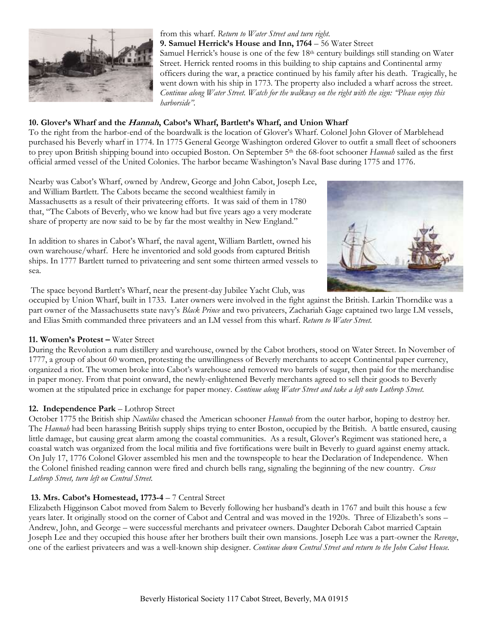

# from this wharf. *Return to Water Street and turn right.*

**9. Samuel Herrick's House and Inn, 1764** – 56 Water Street

Samuel Herrick's house is one of the few 18<sup>th</sup> century buildings still standing on Water Street. Herrick rented rooms in this building to ship captains and Continental army officers during the war, a practice continued by his family after his death. Tragically, he went down with his ship in 1773. The property also included a wharf across the street. *Continue along Water Street. Watch for the walkway on the right with the sign: "Please enjoy this harborside".*

#### **10. Glover's Wharf and the Hannah, Cabot's Wharf, Bartlett's Wharf, and Union Wharf**

To the right from the harbor-end of the boardwalk is the location of Glover's Wharf. Colonel John Glover of Marblehead purchased his Beverly wharf in 1774. In 1775 General George Washington ordered Glover to outfit a small fleet of schooners to prey upon British shipping bound into occupied Boston. On September 5th the 68-foot schooner *Hannah* sailed as the first official armed vessel of the United Colonies. The harbor became Washington's Naval Base during 1775 and 1776.

Nearby was Cabot's Wharf, owned by Andrew, George and John Cabot, Joseph Lee, and William Bartlett. The Cabots became the second wealthiest family in Massachusetts as a result of their privateering efforts. It was said of them in 1780 that, "The Cabots of Beverly, who we know had but five years ago a very moderate share of property are now said to be by far the most wealthy in New England."

In addition to shares in Cabot's Wharf, the naval agent, William Bartlett, owned his own warehouse/wharf. Here he inventoried and sold goods from captured British ships. In 1777 Bartlett turned to privateering and sent some thirteen armed vessels to sea.



The space beyond Bartlett's Wharf, near the present-day Jubilee Yacht Club, was

occupied by Union Wharf, built in 1733. Later owners were involved in the fight against the British. Larkin Thorndike was a part owner of the Massachusetts state navy's *Black Prince* and two privateers, Zachariah Gage captained two large LM vessels, and Elias Smith commanded three privateers and an LM vessel from this wharf. *Return to Water Street.*

# **11. Women's Protest –** Water Street

During the Revolution a rum distillery and warehouse, owned by the Cabot brothers, stood on Water Street. In November of 1777, a group of about 60 women, protesting the unwillingness of Beverly merchants to accept Continental paper currency, organized a riot. The women broke into Cabot's warehouse and removed two barrels of sugar, then paid for the merchandise in paper money. From that point onward, the newly-enlightened Beverly merchants agreed to sell their goods to Beverly women at the stipulated price in exchange for paper money. *Continue along Water Street and take a left onto Lothrop Street.*

# **12. Independence Park** – Lothrop Street

October 1775 the British ship *Nautilus* chased the American schooner *Hannah* from the outer harbor, hoping to destroy her. The *Hannah* had been harassing British supply ships trying to enter Boston, occupied by the British. A battle ensured, causing little damage, but causing great alarm among the coastal communities. As a result, Glover's Regiment was stationed here, a coastal watch was organized from the local militia and five fortifications were built in Beverly to guard against enemy attack. On July 17, 1776 Colonel Glover assembled his men and the townspeople to hear the Declaration of Independence. When the Colonel finished reading cannon were fired and church bells rang, signaling the beginning of the new country. *Cross Lothrop Street, turn left on Central Street.*

# **13. Mrs. Cabot's Homestead, 1773-4** – 7 Central Street

Elizabeth Higginson Cabot moved from Salem to Beverly following her husband's death in 1767 and built this house a few years later. It originally stood on the corner of Cabot and Central and was moved in the 1920s. Three of Elizabeth's sons – Andrew, John, and George – were successful merchants and privateer owners. Daughter Deborah Cabot married Captain Joseph Lee and they occupied this house after her brothers built their own mansions. Joseph Lee was a part-owner the *Revenge*, one of the earliest privateers and was a well-known ship designer. *Continue down Central Street and return to the John Cabot House.*